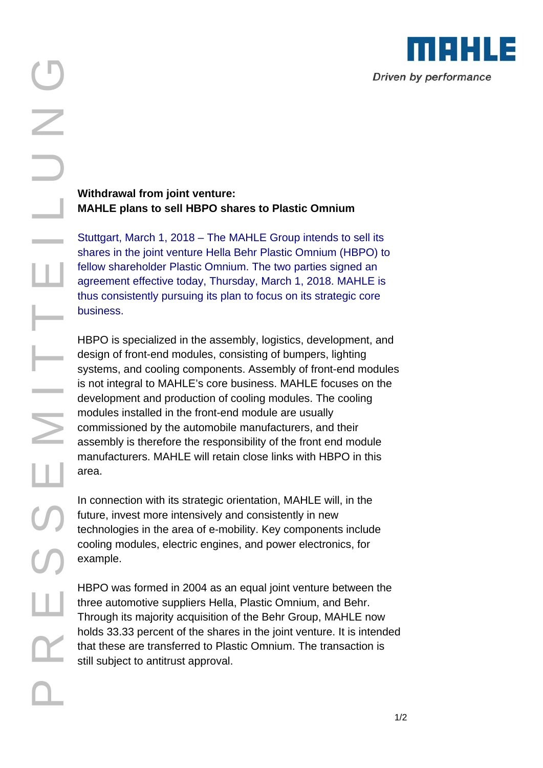

## **Withdrawal from joint venture: MAHLE plans to sell HBPO shares to Plastic Omnium**

Stuttgart, March 1, 2018 – The MAHLE Group intends to sell its shares in the joint venture Hella Behr Plastic Omnium (HBPO) to fellow shareholder Plastic Omnium. The two parties signed an agreement effective today, Thursday, March 1, 2018. MAHLE is thus consistently pursuing its plan to focus on its strategic core business.

HBPO is specialized in the assembly, logistics, development, and design of front-end modules, consisting of bumpers, lighting systems, and cooling components. Assembly of front-end modules is not integral to MAHLE's core business. MAHLE focuses on the development and production of cooling modules. The cooling modules installed in the front-end module are usually commissioned by the automobile manufacturers, and their assembly is therefore the responsibility of the front end module manufacturers. MAHLE will retain close links with HBPO in this area.

In connection with its strategic orientation, MAHLE will, in the future, invest more intensively and consistently in new technologies in the area of e-mobility. Key components include cooling modules, electric engines, and power electronics, for example.

HBPO was formed in 2004 as an equal joint venture between the three automotive suppliers Hella, Plastic Omnium, and Behr. Through its majority acquisition of the Behr Group, MAHLE now holds 33.33 percent of the shares in the joint venture. It is intended that these are transferred to Plastic Omnium. The transaction is still subject to antitrust approval.